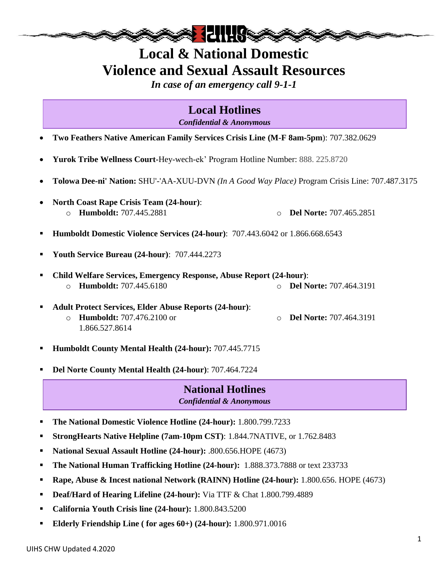

*In case of an emergency call 9-1-1*

**Local Hotlines** *Confidential & Anonymous*

- **Two Feathers Native American Family Services Crisis Line (M-F 8am-5pm**): 707.382.0629
- **Yurok Tribe Wellness Court-**Hey-wech-ek' Program Hotline Number: 888. 225.8720
- **Tolowa Dee-ni' Nation:** SHU'-'AA-XUU-DVN *(In A Good Way Place)* Program Crisis Line: 707.487.3175
- **North Coast Rape Crisis Team (24-hour)**: o **Humboldt:** 707.445.2881 o **Del Norte:** 707.465.2851
- **Humboldt Domestic Violence Services (24-hour)**: 707.443.6042 or 1.866.668.6543
- **Youth Service Bureau (24-hour)**: 707.444.2273
- **Child Welfare Services, Emergency Response, Abuse Report (24-hour)**: o **Humboldt:** 707.445.6180 o **Del Norte:** 707.464.3191
- **Adult Protect Services, Elder Abuse Reports (24-hour)**: o **Humboldt:** 707.476.2100 or 1.866.527.8614 o **Del Norte:** 707.464.3191
- **Humboldt County Mental Health (24-hour):** 707.445.7715
- **Del Norte County Mental Health (24-hour)**: 707.464.7224

#### **National Hotlines** *Confidential & Anonymous*

- **The National Domestic Violence Hotline (24-hour):** 1.800.799.7233
- **StrongHearts Native Helpline (7am-10pm CST)**: 1.844.7NATIVE, or 1.762.8483
- **National Sexual Assault Hotline (24-hour):** .800.656.HOPE (4673)
- **The National Human Trafficking Hotline (24-hour):** 1.888.373.7888 or text 233733
- **Rape, Abuse & Incest national Network (RAINN) Hotline (24-hour):** 1.800.656. HOPE (4673)
- **Deaf/Hard of Hearing Lifeline (24-hour):** Via TTF & Chat 1.800.799.4889
- **California Youth Crisis line (24-hour):** 1.800.843.5200
- **Elderly Friendship Line ( for ages 60+) (24-hour):** 1.800.971.0016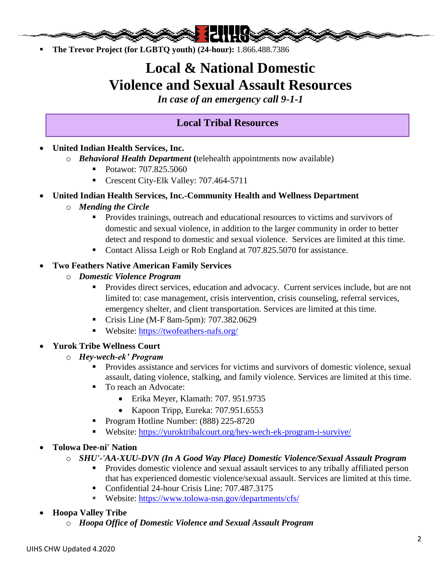

**The Trevor Project (for LGBTQ youth) (24-hour):** 1.866.488.7386

## **Local & National Domestic Violence and Sexual Assault Resources**

*In case of an emergency call 9-1-1*

### . **Local Tribal Resources**

- **United Indian Health Services, Inc.**
	- o *Behavioral Health Department* **(**telehealth appointments now available)
		- Potawot: 707.825.5060
		- Crescent City-Elk Valley: 707.464-5711

#### **United Indian Health Services, Inc.-Community Health and Wellness Department**

- o *Mending the Circle*
	- **Provides trainings, outreach and educational resources to victims and survivors of** domestic and sexual violence, in addition to the larger community in order to better detect and respond to domestic and sexual violence. Services are limited at this time.
	- Contact Alissa Leigh or Rob England at 707.825.5070 for assistance.

#### **Two Feathers Native American Family Services**

- o *Domestic Violence Program*
	- Provides direct services, education and advocacy. Current services include, but are not limited to: case management, crisis intervention, crisis counseling, referral services, emergency shelter, and client transportation. Services are limited at this time.
	- **Crisis Line (M-F 8am-5pm): 707.382.0629**
	- Website:<https://twofeathers-nafs.org/>
- **Yurok Tribe Wellness Court**
	- o *Hey-wech-ek' Program*
		- Provides assistance and services for victims and survivors of domestic violence, sexual assault, dating violence, stalking, and family violence. Services are limited at this time.
		- To reach an Advocate:
			- Erika Meyer, Klamath: 707. 951.9735
			- Kapoon Tripp, Eureka: 707.951.6553
		- Program Hotline Number: (888) 225-8720
		- Website:<https://yuroktribalcourt.org/hey-wech-ek-program-i-survive/>
- **Tolowa Dee-ni' Nation**
	- o *SHU'-'AA-XUU-DVN (In A Good Way Place) Domestic Violence/Sexual Assault Program*
		- **Provides domestic violence and sexual assault services to any tribally affiliated person** that has experienced domestic violence/sexual assault. Services are limited at this time.
		- Confidential 24-hour Crisis Line: 707.487.3175
		- Website:<https://www.tolowa-nsn.gov/departments/cfs/>
- **Hoopa Valley Tribe**
	- o *Hoopa Office of Domestic Violence and Sexual Assault Program*